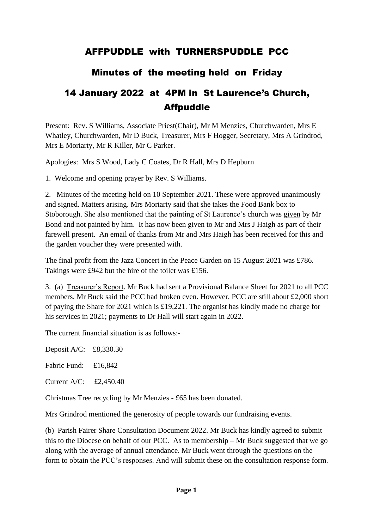## AFFPUDDLE with TURNERSPUDDLE PCC

## Minutes of the meeting held on Friday

## 14 January 2022 at 4PM in St Laurence's Church, Affpuddle

Present: Rev. S Williams, Associate Priest(Chair), Mr M Menzies, Churchwarden, Mrs E Whatley, Churchwarden, Mr D Buck, Treasurer, Mrs F Hogger, Secretary, Mrs A Grindrod, Mrs E Moriarty, Mr R Killer, Mr C Parker.

Apologies: Mrs S Wood, Lady C Coates, Dr R Hall, Mrs D Hepburn

1. Welcome and opening prayer by Rev. S Williams.

2. Minutes of the meeting held on 10 September 2021. These were approved unanimously and signed. Matters arising. Mrs Moriarty said that she takes the Food Bank box to Stoborough. She also mentioned that the painting of St Laurence's church was given by Mr Bond and not painted by him. It has now been given to Mr and Mrs J Haigh as part of their farewell present. An email of thanks from Mr and Mrs Haigh has been received for this and the garden voucher they were presented with.

The final profit from the Jazz Concert in the Peace Garden on 15 August 2021 was £786. Takings were £942 but the hire of the toilet was £156.

3. (a) Treasurer's Report. Mr Buck had sent a Provisional Balance Sheet for 2021 to all PCC members. Mr Buck said the PCC had broken even. However, PCC are still about £2,000 short of paying the Share for 2021 which is £19,221. The organist has kindly made no charge for his services in 2021; payments to Dr Hall will start again in 2022.

The current financial situation is as follows:-

Deposit A/C: £8,330.30

Fabric Fund: £16,842

Current A/C: £2,450.40

Christmas Tree recycling by Mr Menzies - £65 has been donated.

Mrs Grindrod mentioned the generosity of people towards our fundraising events.

(b) Parish Fairer Share Consultation Document 2022. Mr Buck has kindly agreed to submit this to the Diocese on behalf of our PCC. As to membership – Mr Buck suggested that we go along with the average of annual attendance. Mr Buck went through the questions on the form to obtain the PCC's responses. And will submit these on the consultation response form.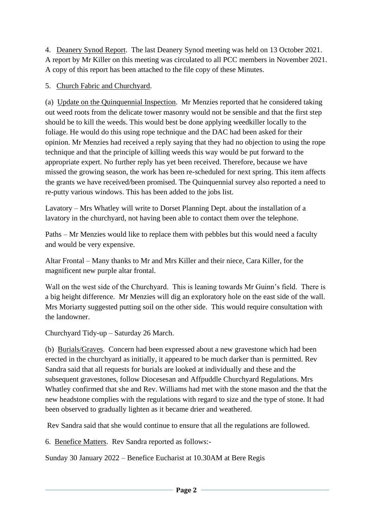4. Deanery Synod Report. The last Deanery Synod meeting was held on 13 October 2021. A report by Mr Killer on this meeting was circulated to all PCC members in November 2021. A copy of this report has been attached to the file copy of these Minutes.

## 5. Church Fabric and Churchyard.

(a) Update on the Quinquennial Inspection. Mr Menzies reported that he considered taking out weed roots from the delicate tower masonry would not be sensible and that the first step should be to kill the weeds. This would best be done applying weedkiller locally to the foliage. He would do this using rope technique and the DAC had been asked for their opinion. Mr Menzies had received a reply saying that they had no objection to using the rope technique and that the principle of killing weeds this way would be put forward to the appropriate expert. No further reply has yet been received. Therefore, because we have missed the growing season, the work has been re-scheduled for next spring. This item affects the grants we have received/been promised. The Quinquennial survey also reported a need to re-putty various windows. This has been added to the jobs list.

Lavatory – Mrs Whatley will write to Dorset Planning Dept. about the installation of a lavatory in the churchyard, not having been able to contact them over the telephone.

Paths – Mr Menzies would like to replace them with pebbles but this would need a faculty and would be very expensive.

Altar Frontal – Many thanks to Mr and Mrs Killer and their niece, Cara Killer, for the magnificent new purple altar frontal.

Wall on the west side of the Churchyard. This is leaning towards Mr Guinn's field. There is a big height difference. Mr Menzies will dig an exploratory hole on the east side of the wall. Mrs Moriarty suggested putting soil on the other side. This would require consultation with the landowner.

Churchyard Tidy-up – Saturday 26 March.

(b) Burials/Graves. Concern had been expressed about a new gravestone which had been erected in the churchyard as initially, it appeared to be much darker than is permitted. Rev Sandra said that all requests for burials are looked at individually and these and the subsequent gravestones, follow Diocesesan and Affpuddle Churchyard Regulations. Mrs Whatley confirmed that she and Rev. Williams had met with the stone mason and the that the new headstone complies with the regulations with regard to size and the type of stone. It had been observed to gradually lighten as it became drier and weathered.

Rev Sandra said that she would continue to ensure that all the regulations are followed.

6. Benefice Matters. Rev Sandra reported as follows:-

Sunday 30 January 2022 – Benefice Eucharist at 10.30AM at Bere Regis